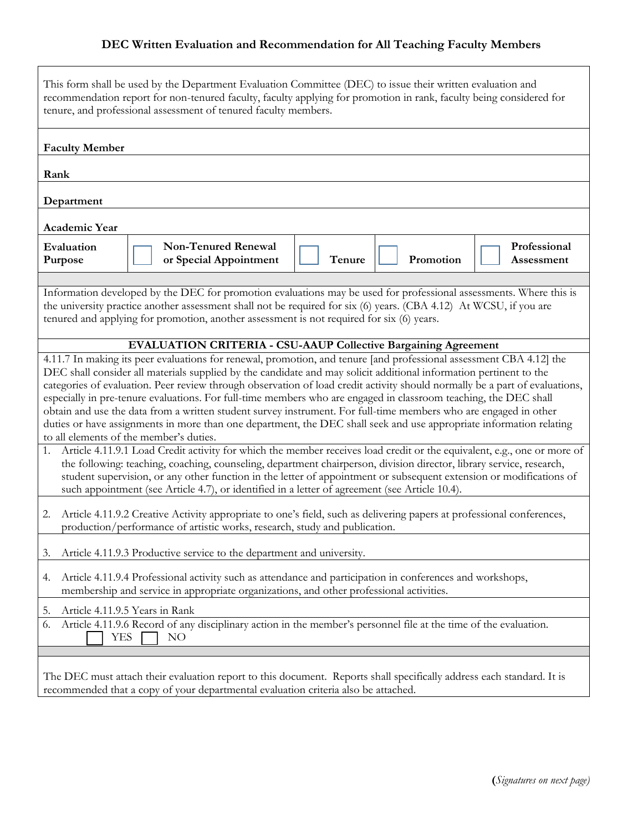## **DEC Written Evaluation and Recommendation for All Teaching Faculty Members**

| This form shall be used by the Department Evaluation Committee (DEC) to issue their written evaluation and<br>recommendation report for non-tenured faculty, faculty applying for promotion in rank, faculty being considered for<br>tenure, and professional assessment of tenured faculty members.                                                                                                                                                                                                                                                                                                                                                                                                                                                                                                                                                                                                                                                                                                                                                                                                                                                                                                                                                                                                                                                                                                                                                                                                                                                       |                                                                                                                                                                                                             |        |           |                            |  |  |
|------------------------------------------------------------------------------------------------------------------------------------------------------------------------------------------------------------------------------------------------------------------------------------------------------------------------------------------------------------------------------------------------------------------------------------------------------------------------------------------------------------------------------------------------------------------------------------------------------------------------------------------------------------------------------------------------------------------------------------------------------------------------------------------------------------------------------------------------------------------------------------------------------------------------------------------------------------------------------------------------------------------------------------------------------------------------------------------------------------------------------------------------------------------------------------------------------------------------------------------------------------------------------------------------------------------------------------------------------------------------------------------------------------------------------------------------------------------------------------------------------------------------------------------------------------|-------------------------------------------------------------------------------------------------------------------------------------------------------------------------------------------------------------|--------|-----------|----------------------------|--|--|
| <b>Faculty Member</b>                                                                                                                                                                                                                                                                                                                                                                                                                                                                                                                                                                                                                                                                                                                                                                                                                                                                                                                                                                                                                                                                                                                                                                                                                                                                                                                                                                                                                                                                                                                                      |                                                                                                                                                                                                             |        |           |                            |  |  |
| Rank                                                                                                                                                                                                                                                                                                                                                                                                                                                                                                                                                                                                                                                                                                                                                                                                                                                                                                                                                                                                                                                                                                                                                                                                                                                                                                                                                                                                                                                                                                                                                       |                                                                                                                                                                                                             |        |           |                            |  |  |
| Department                                                                                                                                                                                                                                                                                                                                                                                                                                                                                                                                                                                                                                                                                                                                                                                                                                                                                                                                                                                                                                                                                                                                                                                                                                                                                                                                                                                                                                                                                                                                                 |                                                                                                                                                                                                             |        |           |                            |  |  |
| Academic Year                                                                                                                                                                                                                                                                                                                                                                                                                                                                                                                                                                                                                                                                                                                                                                                                                                                                                                                                                                                                                                                                                                                                                                                                                                                                                                                                                                                                                                                                                                                                              |                                                                                                                                                                                                             |        |           |                            |  |  |
| Evaluation<br>Purpose                                                                                                                                                                                                                                                                                                                                                                                                                                                                                                                                                                                                                                                                                                                                                                                                                                                                                                                                                                                                                                                                                                                                                                                                                                                                                                                                                                                                                                                                                                                                      | <b>Non-Tenured Renewal</b><br>or Special Appointment                                                                                                                                                        | Tenure | Promotion | Professional<br>Assessment |  |  |
| Information developed by the DEC for promotion evaluations may be used for professional assessments. Where this is<br>the university practice another assessment shall not be required for six (6) years. (CBA 4.12) At WCSU, if you are<br>tenured and applying for promotion, another assessment is not required for six (6) years.                                                                                                                                                                                                                                                                                                                                                                                                                                                                                                                                                                                                                                                                                                                                                                                                                                                                                                                                                                                                                                                                                                                                                                                                                      |                                                                                                                                                                                                             |        |           |                            |  |  |
| <b>EVALUATION CRITERIA - CSU-AAUP Collective Bargaining Agreement</b><br>4.11.7 In making its peer evaluations for renewal, promotion, and tenure [and professional assessment CBA 4.12] the<br>DEC shall consider all materials supplied by the candidate and may solicit additional information pertinent to the<br>categories of evaluation. Peer review through observation of load credit activity should normally be a part of evaluations,<br>especially in pre-tenure evaluations. For full-time members who are engaged in classroom teaching, the DEC shall<br>obtain and use the data from a written student survey instrument. For full-time members who are engaged in other<br>duties or have assignments in more than one department, the DEC shall seek and use appropriate information relating<br>to all elements of the member's duties.<br>Article 4.11.9.1 Load Credit activity for which the member receives load credit or the equivalent, e.g., one or more of<br>1.<br>the following: teaching, coaching, counseling, department chairperson, division director, library service, research,<br>student supervision, or any other function in the letter of appointment or subsequent extension or modifications of<br>such appointment (see Article 4.7), or identified in a letter of agreement (see Article 10.4).<br>Article 4.11.9.2 Creative Activity appropriate to one's field, such as delivering papers at professional conferences,<br>2.<br>production/performance of artistic works, research, study and publication. |                                                                                                                                                                                                             |        |           |                            |  |  |
| Article 4.11.9.3 Productive service to the department and university.<br>3.                                                                                                                                                                                                                                                                                                                                                                                                                                                                                                                                                                                                                                                                                                                                                                                                                                                                                                                                                                                                                                                                                                                                                                                                                                                                                                                                                                                                                                                                                |                                                                                                                                                                                                             |        |           |                            |  |  |
| Article 4.11.9.4 Professional activity such as attendance and participation in conferences and workshops,<br>4.<br>membership and service in appropriate organizations, and other professional activities.                                                                                                                                                                                                                                                                                                                                                                                                                                                                                                                                                                                                                                                                                                                                                                                                                                                                                                                                                                                                                                                                                                                                                                                                                                                                                                                                                 |                                                                                                                                                                                                             |        |           |                            |  |  |
| Article 4.11.9.5 Years in Rank<br>5.<br>Article 4.11.9.6 Record of any disciplinary action in the member's personnel file at the time of the evaluation.<br>6.<br>YES<br>NO                                                                                                                                                                                                                                                                                                                                                                                                                                                                                                                                                                                                                                                                                                                                                                                                                                                                                                                                                                                                                                                                                                                                                                                                                                                                                                                                                                                |                                                                                                                                                                                                             |        |           |                            |  |  |
|                                                                                                                                                                                                                                                                                                                                                                                                                                                                                                                                                                                                                                                                                                                                                                                                                                                                                                                                                                                                                                                                                                                                                                                                                                                                                                                                                                                                                                                                                                                                                            | The DEC must attach their evaluation report to this document. Reports shall specifically address each standard. It is<br>recommended that a copy of your departmental evaluation criteria also be attached. |        |           |                            |  |  |